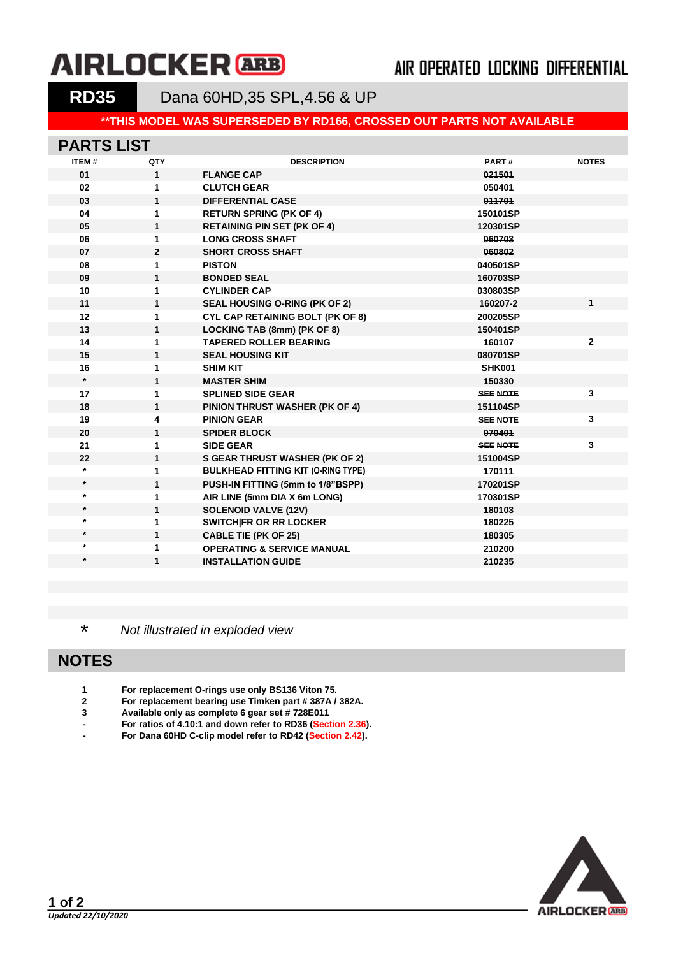# **AIRLOCKER** ARB

## AIR OPERATED LOCKING DIFFERENTIAL

**RD35** Dana 60HD,35 SPL,4.56 & UP

#### **\*\*THIS MODEL WAS SUPERSEDED BY RD166, CROSSED OUT PARTS NOT AVAILABLE**

#### **PARTS LIST**

| <b>ITEM#</b> | QTY            | <b>DESCRIPTION</b>                        | PART#           | <b>NOTES</b> |
|--------------|----------------|-------------------------------------------|-----------------|--------------|
| 01           | $\mathbf{1}$   | <b>FLANGE CAP</b>                         | 021501          |              |
| 02           | 1              | <b>CLUTCH GEAR</b>                        | 050401          |              |
| 03           | 1              | <b>DIFFERENTIAL CASE</b>                  | 011701          |              |
| 04           | 1              | <b>RETURN SPRING (PK OF 4)</b>            | 150101SP        |              |
| 05           | $\mathbf{1}$   | <b>RETAINING PIN SET (PK OF 4)</b>        | 120301SP        |              |
| 06           | 1              | <b>LONG CROSS SHAFT</b>                   | 060703          |              |
| 07           | $\overline{2}$ | <b>SHORT CROSS SHAFT</b>                  | 060802          |              |
| 08           | 1              | <b>PISTON</b>                             | 040501SP        |              |
| 09           | $\mathbf{1}$   | <b>BONDED SEAL</b>                        | 160703SP        |              |
| 10           | 1              | <b>CYLINDER CAP</b>                       | 030803SP        |              |
| 11           | $\mathbf{1}$   | SEAL HOUSING O-RING (PK OF 2)             | 160207-2        | $\mathbf{1}$ |
| 12           | 1              | CYL CAP RETAINING BOLT (PK OF 8)          | 200205SP        |              |
| 13           | $\mathbf{1}$   | LOCKING TAB (8mm) (PK OF 8)               | 150401SP        |              |
| 14           | 1              | <b>TAPERED ROLLER BEARING</b>             | 160107          | $\mathbf{2}$ |
| 15           | $\mathbf{1}$   | <b>SEAL HOUSING KIT</b>                   | 080701SP        |              |
| 16           | 1              | <b>SHIM KIT</b>                           | <b>SHK001</b>   |              |
| $\star$      | $\mathbf{1}$   | <b>MASTER SHIM</b>                        | 150330          |              |
| 17           | 1              | <b>SPLINED SIDE GEAR</b>                  | <b>SEE NOTE</b> | $\mathbf{3}$ |
| 18           | 1              | <b>PINION THRUST WASHER (PK OF 4)</b>     | 151104SP        |              |
| 19           | 4              | <b>PINION GEAR</b>                        | <b>SEE NOTE</b> | 3            |
| 20           | $\mathbf{1}$   | <b>SPIDER BLOCK</b>                       | 070401          |              |
| 21           | 1              | <b>SIDE GEAR</b>                          | <b>SEE NOTE</b> | 3            |
| 22           | $\mathbf{1}$   | <b>S GEAR THRUST WASHER (PK OF 2)</b>     | 151004SP        |              |
| $\star$      | 1              | <b>BULKHEAD FITTING KIT (O-RING TYPE)</b> | 170111          |              |
| $\star$      | $\mathbf{1}$   | PUSH-IN FITTING (5mm to 1/8"BSPP)         | 170201SP        |              |
| $\star$      | 1              | AIR LINE (5mm DIA X 6m LONG)              | 170301SP        |              |
| $\star$      | $\mathbf{1}$   | <b>SOLENOID VALVE (12V)</b>               | 180103          |              |
| $\star$      | 1              | SWITCH FR OR RR LOCKER                    | 180225          |              |
| $\star$      | 1              | <b>CABLE TIE (PK OF 25)</b>               | 180305          |              |
| $\star$      | 1              | <b>OPERATING &amp; SERVICE MANUAL</b>     | 210200          |              |
| $\star$      | 1              | <b>INSTALLATION GUIDE</b>                 | 210235          |              |
|              |                |                                           |                 |              |

\* *Not illustrated in exploded view*

#### **NOTES**

- **1 For replacement O-rings use only BS136 Viton 75.**
- **2 For replacement bearing use Timken part # 387A / 382A.**
- **3 Available only as complete 6 gear set # 728E011**
- **- For ratios of 4.10:1 and down refer to RD36 [\(Section 2.36\)](2-RD36.pdf).**
- **- For Dana 60HD C-clip model refer to RD42 [\(Section 2.42\)](2-RD42.pdf).**